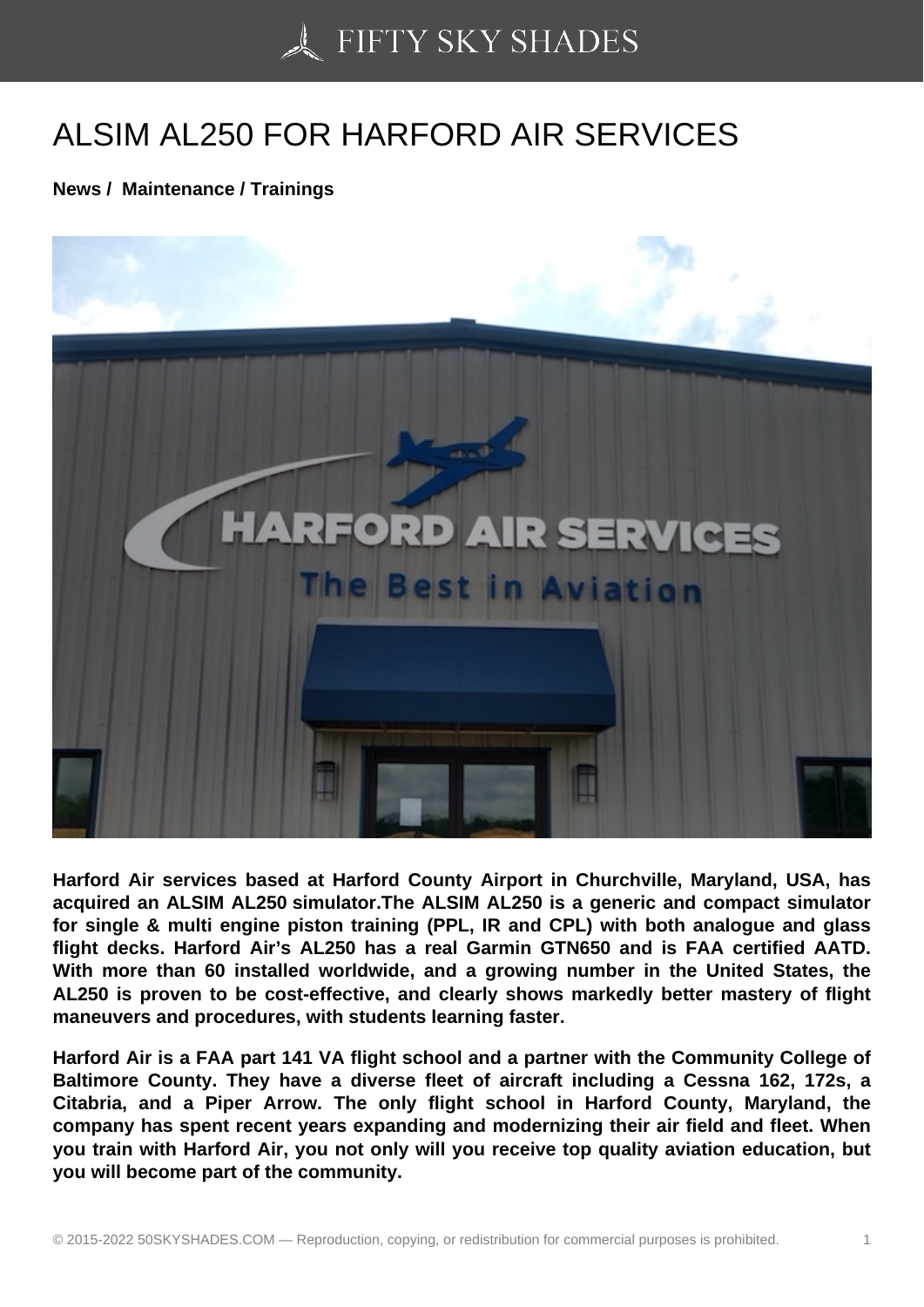## [ALSIM AL250 FOR HA](https://50skyshades.com)RFORD AIR SERVICES

News / Maintenance / Trainings

Harford Air services based at Harford County Airport in Churchville, Maryland, USA, has acquired an ALSIM AL250 simulator.The ALSIM AL250 is a generic and compact simulator for single & multi engine piston training (PPL, IR and CPL) with both analogue and glass flight decks. Harford Air's AL250 has a real Garmin GTN650 and is FAA certified AATD. With more than 60 installed worldwide, and a growing number in the United States, the AL250 is proven to be cost-effective, and clearly shows markedly better mastery of flight maneuvers and procedures, with students learning faster.

Harford Air is a FAA part 141 VA flight school and a partner with the Community College of Baltimore County. They have a diverse fleet of aircraft including a Cessna 162, 172s, a Citabria, and a Piper Arrow. The only flight school in Harford County, Maryland, the company has spent recent years expanding and modernizing their air field and fleet. When you train with Harford Air, you not only will you receive top quality aviation education, but you will become part of the community.